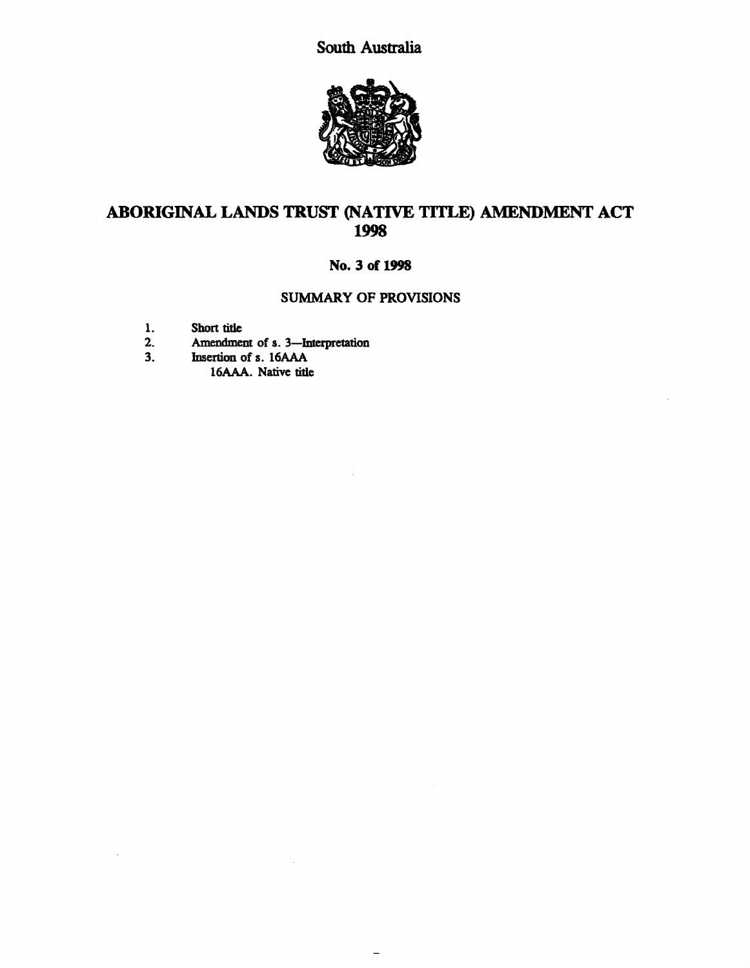South Australia



# ABORIGINAL LANDS TRUST (NATIVE TITLE) AMENDMENT ACT 1998

# No. 3 of 1998

### SUMMARY OF PROVISIONS

 $\equiv$ 

- 1. Short title<br>2. Amendmen
- 2. Amendment of s. 3—Interpretation<br>3. Insertion of s. 16AAA
- Insertion of s. 16AAA 16AAA. Native title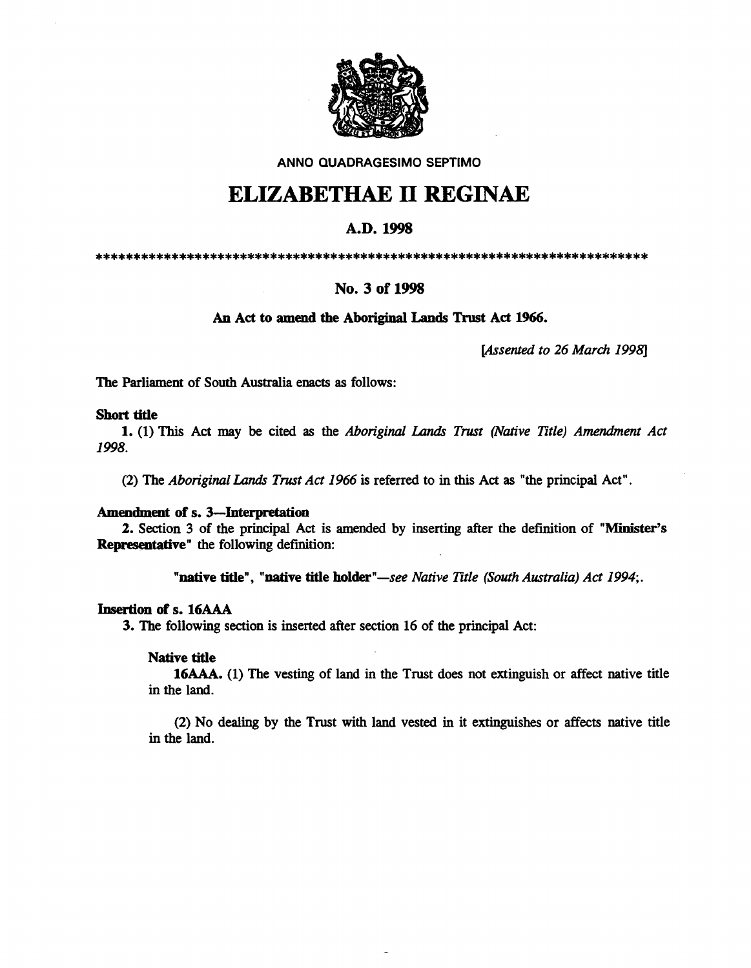

AN NO QUADRAGESIMO SEPTIMO

# ELIZABETHAE 11 REGINAE

## A.D. 1998

\*\*\*\*\*\*\*\*\*\*\*\*\*\*\*\*\*\*\*\*\*\*\*\*\*\*\*\*\*\*\*\*\*\*\*\*\*\*\*\*\*\*\*\*\*\*\*\*\*\*\*\*\*\*\*\*\*\*\*\*\*\*\*\*\*\*\*\*\*\*\*\*\*

## No. 3 of 1998

#### An Act to amend the Aboriginal Lands Trust Act 1966.

*[Assented to* 26 *March 1998]* 

The Parliament of South Australia enacts as follows:

#### Short tide

1. (1) This Act may be cited as the *Aboriginal* Lands *Trust (Native Title) Amendment Act*  1998.

(2) The *Aboriginal* Lands *Trust Act* 1966 is referred to in this Act as "the principal Act".

#### Amendment of s. 3-Interpretation

2. Section 3 of the principal Act is amended by inserting after the definition of "Minister's Representative" the following definition:

"native tide", "native tide holder"-see *Native Title (South Australia) Act 1994;.* 

#### Insertion of s. 16AAA

3. The following section is inserted after section 16 of the principal Act:

#### Native tide

16AAA. (1) The vesting of land in the Trust does not extinguish or affect native title in the land.

(2) No dealing by the Trust with land vested in it extinguishes or affects native title in the land.